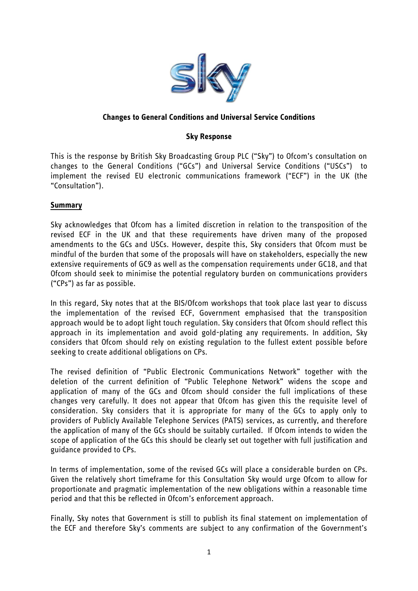

# **Changes to General Conditions and Universal Service Conditions**

### **Sky Response**

This is the response by British Sky Broadcasting Group PLC ("Sky") to Ofcom"s consultation on changes to the General Conditions ("GCs") and Universal Service Conditions ("USCs") to implement the revised EU electronic communications framework ("ECF") in the UK (the "Consultation").

### **Summary**

Sky acknowledges that Ofcom has a limited discretion in relation to the transposition of the revised ECF in the UK and that these requirements have driven many of the proposed amendments to the GCs and USCs. However, despite this, Sky considers that Ofcom must be mindful of the burden that some of the proposals will have on stakeholders, especially the new extensive requirements of GC9 as well as the compensation requirements under GC18, and that Ofcom should seek to minimise the potential regulatory burden on communications providers ("CPs") as far as possible.

In this regard, Sky notes that at the BIS/Ofcom workshops that took place last year to discuss the implementation of the revised ECF, Government emphasised that the transposition approach would be to adopt light touch regulation. Sky considers that Ofcom should reflect this approach in its implementation and avoid gold-plating any requirements. In addition, Sky considers that Ofcom should rely on existing regulation to the fullest extent possible before seeking to create additional obligations on CPs.

The revised definition of "Public Electronic Communications Network" together with the deletion of the current definition of "Public Telephone Network" widens the scope and application of many of the GCs and Ofcom should consider the full implications of these changes very carefully. It does not appear that Ofcom has given this the requisite level of consideration. Sky considers that it is appropriate for many of the GCs to apply only to providers of Publicly Available Telephone Services (PATS) services, as currently, and therefore the application of many of the GCs should be suitably curtailed. If Ofcom intends to widen the scope of application of the GCs this should be clearly set out together with full justification and guidance provided to CPs.

In terms of implementation, some of the revised GCs will place a considerable burden on CPs. Given the relatively short timeframe for this Consultation Sky would urge Ofcom to allow for proportionate and pragmatic implementation of the new obligations within a reasonable time period and that this be reflected in Ofcom"s enforcement approach.

Finally, Sky notes that Government is still to publish its final statement on implementation of the ECF and therefore Sky"s comments are subject to any confirmation of the Government"s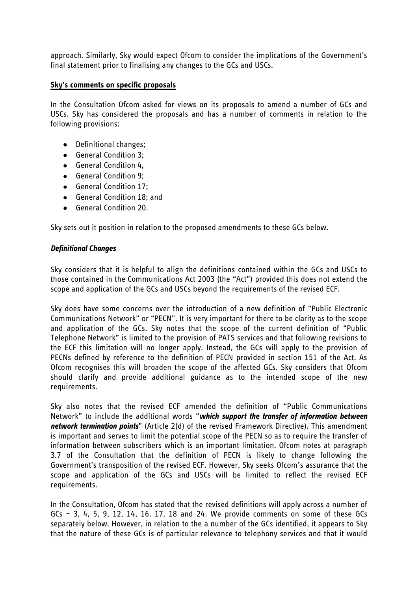approach. Similarly, Sky would expect Ofcom to consider the implications of the Government"s final statement prior to finalising any changes to the GCs and USCs.

## **Sky's comments on specific proposals**

In the Consultation Ofcom asked for views on its proposals to amend a number of GCs and USCs. Sky has considered the proposals and has a number of comments in relation to the following provisions:

- Definitional changes;
- General Condition 3;
- General Condition 4,
- General Condition 9;
- General Condition 17;
- General Condition 18; and
- General Condition 20.

Sky sets out it position in relation to the proposed amendments to these GCs below.

### *Definitional Changes*

Sky considers that it is helpful to align the definitions contained within the GCs and USCs to those contained in the Communications Act 2003 (the "Act") provided this does not extend the scope and application of the GCs and USCs beyond the requirements of the revised ECF.

Sky does have some concerns over the introduction of a new definition of "Public Electronic Communications Network" or "PECN". It is very important for there to be clarity as to the scope and application of the GCs. Sky notes that the scope of the current definition of "Public Telephone Network" is limited to the provision of PATS services and that following revisions to the ECF this limitation will no longer apply. Instead, the GCs will apply to the provision of PECNs defined by reference to the definition of PECN provided in section 151 of the Act. As Ofcom recognises this will broaden the scope of the affected GCs. Sky considers that Ofcom should clarify and provide additional guidance as to the intended scope of the new requirements.

Sky also notes that the revised ECF amended the definition of "Public Communications Network" to include the additional words "*which support the transfer of information between network termination points*" (Article 2(d) of the revised Framework Directive). This amendment is important and serves to limit the potential scope of the PECN so as to require the transfer of information between subscribers which is an important limitation. Ofcom notes at paragraph 3.7 of the Consultation that the definition of PECN is likely to change following the Government"s transposition of the revised ECF. However, Sky seeks Ofcom"s assurance that the scope and application of the GCs and USCs will be limited to reflect the revised ECF requirements.

In the Consultation, Ofcom has stated that the revised definitions will apply across a number of GCs – 3, 4, 5, 9, 12, 14, 16, 17, 18 and 24. We provide comments on some of these GCs separately below. However, in relation to the a number of the GCs identified, it appears to Sky that the nature of these GCs is of particular relevance to telephony services and that it would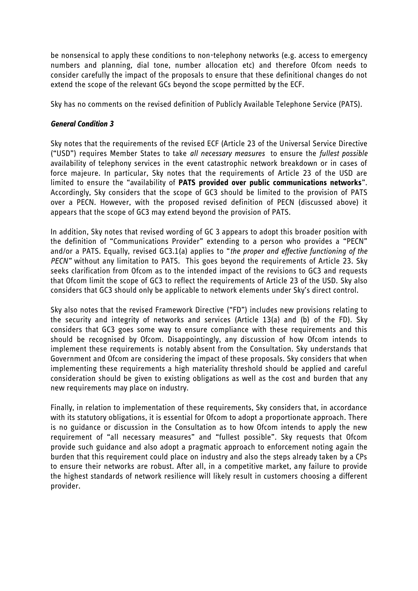be nonsensical to apply these conditions to non-telephony networks (e.g. access to emergency numbers and planning, dial tone, number allocation etc) and therefore Ofcom needs to consider carefully the impact of the proposals to ensure that these definitional changes do not extend the scope of the relevant GCs beyond the scope permitted by the ECF.

Sky has no comments on the revised definition of Publicly Available Telephone Service (PATS).

### *General Condition 3*

Sky notes that the requirements of the revised ECF (Article 23 of the Universal Service Directive ("USD") requires Member States to take *all necessary measures* to ensure the *fullest possible* availability of telephony services in the event catastrophic network breakdown or in cases of force majeure. In particular, Sky notes that the requirements of Article 23 of the USD are limited to ensure the "availability of **PATS provided over public communications networks**". Accordingly, Sky considers that the scope of GC3 should be limited to the provision of PATS over a PECN. However, with the proposed revised definition of PECN (discussed above) it appears that the scope of GC3 may extend beyond the provision of PATS.

In addition, Sky notes that revised wording of GC 3 appears to adopt this broader position with the definition of "Communications Provider" extending to a person who provides a "PECN" and/or a PATS. Equally, revised GC3.1(a) applies to "*the proper and effective functioning of the PECN"* without any limitation to PATS. This goes beyond the requirements of Article 23. Sky seeks clarification from Ofcom as to the intended impact of the revisions to GC3 and requests that Ofcom limit the scope of GC3 to reflect the requirements of Article 23 of the USD. Sky also considers that GC3 should only be applicable to network elements under Sky"s direct control.

Sky also notes that the revised Framework Directive ("FD") includes new provisions relating to the security and integrity of networks and services (Article 13(a) and (b) of the FD). Sky considers that GC3 goes some way to ensure compliance with these requirements and this should be recognised by Ofcom. Disappointingly, any discussion of how Ofcom intends to implement these requirements is notably absent from the Consultation. Sky understands that Government and Ofcom are considering the impact of these proposals. Sky considers that when implementing these requirements a high materiality threshold should be applied and careful consideration should be given to existing obligations as well as the cost and burden that any new requirements may place on industry.

Finally, in relation to implementation of these requirements, Sky considers that, in accordance with its statutory obligations, it is essential for Ofcom to adopt a proportionate approach. There is no guidance or discussion in the Consultation as to how Ofcom intends to apply the new requirement of "all necessary measures" and "fullest possible". Sky requests that Ofcom provide such guidance and also adopt a pragmatic approach to enforcement noting again the burden that this requirement could place on industry and also the steps already taken by a CPs to ensure their networks are robust. After all, in a competitive market, any failure to provide the highest standards of network resilience will likely result in customers choosing a different provider.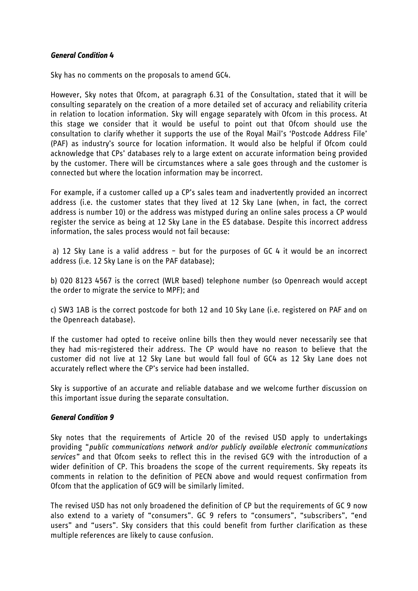### *General Condition 4*

Sky has no comments on the proposals to amend GC4.

However, Sky notes that Ofcom, at paragraph 6.31 of the Consultation, stated that it will be consulting separately on the creation of a more detailed set of accuracy and reliability criteria in relation to location information. Sky will engage separately with Ofcom in this process. At this stage we consider that it would be useful to point out that Ofcom should use the consultation to clarify whether it supports the use of the Royal Mail"s "Postcode Address File" (PAF) as industry"s source for location information. It would also be helpful if Ofcom could acknowledge that CPs" databases rely to a large extent on accurate information being provided by the customer. There will be circumstances where a sale goes through and the customer is connected but where the location information may be incorrect.

For example, if a customer called up a CP"s sales team and inadvertently provided an incorrect address (i.e. the customer states that they lived at 12 Sky Lane (when, in fact, the correct address is number 10) or the address was mistyped during an online sales process a CP would register the service as being at 12 Sky Lane in the ES database. Despite this incorrect address information, the sales process would not fail because:

a) 12 Sky Lane is a valid address – but for the purposes of GC 4 it would be an incorrect address (i.e. 12 Sky Lane is on the PAF database);

b) 020 8123 4567 is the correct (WLR based) telephone number (so Openreach would accept the order to migrate the service to MPF); and

c) SW3 1AB is the correct postcode for both 12 and 10 Sky Lane (i.e. registered on PAF and on the Openreach database).

If the customer had opted to receive online bills then they would never necessarily see that they had mis-registered their address. The CP would have no reason to believe that the customer did not live at 12 Sky Lane but would fall foul of GC4 as 12 Sky Lane does not accurately reflect where the CP"s service had been installed.

Sky is supportive of an accurate and reliable database and we welcome further discussion on this important issue during the separate consultation.

# *General Condition 9*

Sky notes that the requirements of Article 20 of the revised USD apply to undertakings providing "*public communications network and/or publicly available electronic communications services"* and that Ofcom seeks to reflect this in the revised GC9 with the introduction of a wider definition of CP. This broadens the scope of the current requirements. Sky repeats its comments in relation to the definition of PECN above and would request confirmation from Ofcom that the application of GC9 will be similarly limited.

The revised USD has not only broadened the definition of CP but the requirements of GC 9 now also extend to a variety of "consumers". GC 9 refers to "consumers", "subscribers", "end users" and "users". Sky considers that this could benefit from further clarification as these multiple references are likely to cause confusion.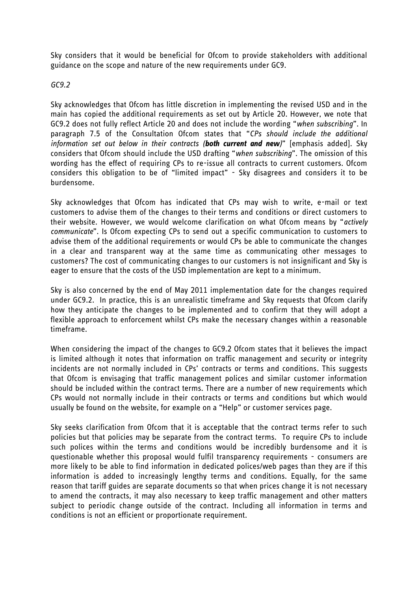Sky considers that it would be beneficial for Ofcom to provide stakeholders with additional guidance on the scope and nature of the new requirements under GC9.

### *GC9.2*

Sky acknowledges that Ofcom has little discretion in implementing the revised USD and in the main has copied the additional requirements as set out by Article 20. However, we note that GC9.2 does not fully reflect Article 20 and does not include the wording "*when subscribing*". In paragraph 7.5 of the Consultation Ofcom states that "*CPs should include the additional information set out below in their contracts (both current and new)*" [emphasis added]. Sky considers that Ofcom should include the USD drafting "*when subscribing*". The omission of this wording has the effect of requiring CPs to re-issue all contracts to current customers. Ofcom considers this obligation to be of "limited impact" - Sky disagrees and considers it to be burdensome.

Sky acknowledges that Ofcom has indicated that CPs may wish to write, e-mail or text customers to advise them of the changes to their terms and conditions or direct customers to their website. However, we would welcome clarification on what Ofcom means by "*actively communicate*". Is Ofcom expecting CPs to send out a specific communication to customers to advise them of the additional requirements or would CPs be able to communicate the changes in a clear and transparent way at the same time as communicating other messages to customers? The cost of communicating changes to our customers is not insignificant and Sky is eager to ensure that the costs of the USD implementation are kept to a minimum.

Sky is also concerned by the end of May 2011 implementation date for the changes required under GC9.2. In practice, this is an unrealistic timeframe and Sky requests that Ofcom clarify how they anticipate the changes to be implemented and to confirm that they will adopt a flexible approach to enforcement whilst CPs make the necessary changes within a reasonable timeframe.

When considering the impact of the changes to GC9.2 Ofcom states that it believes the impact is limited although it notes that information on traffic management and security or integrity incidents are not normally included in CPs' contracts or terms and conditions. This suggests that Ofcom is envisaging that traffic management polices and similar customer information should be included within the contract terms. There are a number of new requirements which CPs would not normally include in their contracts or terms and conditions but which would usually be found on the website, for example on a "Help" or customer services page.

Sky seeks clarification from Ofcom that it is acceptable that the contract terms refer to such policies but that policies may be separate from the contract terms. To require CPs to include such polices within the terms and conditions would be incredibly burdensome and it is questionable whether this proposal would fulfil transparency requirements - consumers are more likely to be able to find information in dedicated polices/web pages than they are if this information is added to increasingly lengthy terms and conditions. Equally, for the same reason that tariff guides are separate documents so that when prices change it is not necessary to amend the contracts, it may also necessary to keep traffic management and other matters subject to periodic change outside of the contract. Including all information in terms and conditions is not an efficient or proportionate requirement.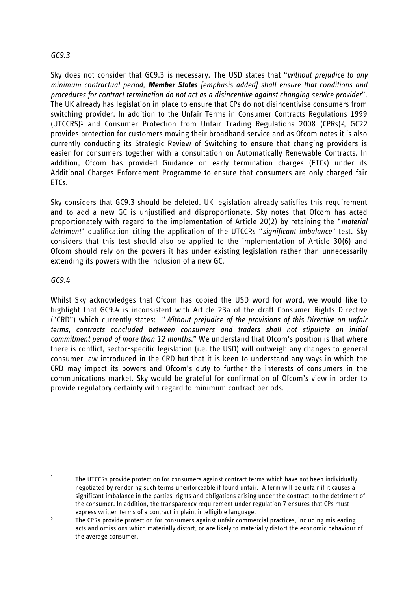# *GC9.3*

Sky does not consider that GC9.3 is necessary. The USD states that "*without prejudice to any minimum contractual period, Member States [emphasis added] shall ensure that conditions and procedures for contract termination do not act as a disincentive against changing service provider*". The UK already has legislation in place to ensure that CPs do not disincentivise consumers from switching provider. In addition to the Unfair Terms in Consumer Contracts Regulations 1999 (UTCCRS)<sup>1</sup> and Consumer Protection from Unfair Trading Regulations 2008 (CPRs)2, GC22 provides protection for customers moving their broadband service and as Ofcom notes it is also currently conducting its Strategic Review of Switching to ensure that changing providers is easier for consumers together with a consultation on Automatically Renewable Contracts. In addition, Ofcom has provided Guidance on early termination charges (ETCs) under its Additional Charges Enforcement Programme to ensure that consumers are only charged fair  $FTCs$ .

Sky considers that GC9.3 should be deleted. UK legislation already satisfies this requirement and to add a new GC is unjustified and disproportionate. Sky notes that Ofcom has acted proportionately with regard to the implementation of Article 20(2) by retaining the "*material detriment*" qualification citing the application of the UTCCRs "*significant imbalance*" test. Sky considers that this test should also be applied to the implementation of Article 30(6) and Ofcom should rely on the powers it has under existing legislation rather than unnecessarily extending its powers with the inclusion of a new GC.

### *GC9.4*

Whilst Sky acknowledges that Ofcom has copied the USD word for word, we would like to highlight that GC9.4 is inconsistent with Article 23a of the draft Consumer Rights Directive ("CRD") which currently states: "*Without prejudice of the provisions of this Directive on unfair terms, contracts concluded between consumers and traders shall not stipulate an initial commitment period of more than 12 months.*" We understand that Ofcom"s position is that where there is conflict, sector-specific legislation (i.e. the USD) will outweigh any changes to general consumer law introduced in the CRD but that it is keen to understand any ways in which the CRD may impact its powers and Ofcom"s duty to further the interests of consumers in the communications market. Sky would be grateful for confirmation of Ofcom"s view in order to provide regulatory certainty with regard to minimum contract periods.

 $\frac{1}{1}$ The UTCCRs provide protection for consumers against contract terms which have not been individually negotiated by rendering such terms unenforceable if found unfair. A term will be unfair if it causes a significant imbalance in the parties' rights and obligations arising under the contract, to the detriment of the consumer. In addition, the transparency requirement under regulation 7 ensures that CPs must express written terms of a contract in plain, intelligible language.

<sup>2</sup> The CPRs provide protection for consumers against unfair commercial practices, including misleading acts and omissions which materially distort, or are likely to materially distort the economic behaviour of the average consumer.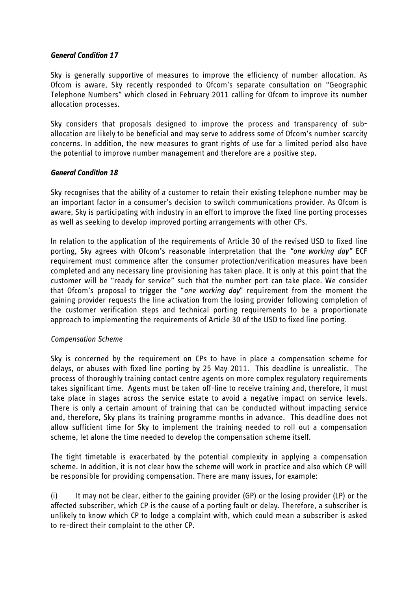### *General Condition 17*

Sky is generally supportive of measures to improve the efficiency of number allocation. As Ofcom is aware, Sky recently responded to Ofcom"s separate consultation on "Geographic Telephone Numbers" which closed in February 2011 calling for Ofcom to improve its number allocation processes.

Sky considers that proposals designed to improve the process and transparency of suballocation are likely to be beneficial and may serve to address some of Ofcom"s number scarcity concerns. In addition, the new measures to grant rights of use for a limited period also have the potential to improve number management and therefore are a positive step.

### *General Condition 18*

Sky recognises that the ability of a customer to retain their existing telephone number may be an important factor in a consumer's decision to switch communications provider. As Ofcom is aware, Sky is participating with industry in an effort to improve the fixed line porting processes as well as seeking to develop improved porting arrangements with other CPs.

In relation to the application of the requirements of Article 30 of the revised USD to fixed line porting, Sky agrees with Ofcom"s reasonable interpretation that the *"one working day"* ECF requirement must commence after the consumer protection/verification measures have been completed and any necessary line provisioning has taken place. It is only at this point that the customer will be "ready for service" such that the number port can take place. We consider that Ofcom"s proposal to trigger the "*one working day*" requirement from the moment the gaining provider requests the line activation from the losing provider following completion of the customer verification steps and technical porting requirements to be a proportionate approach to implementing the requirements of Article 30 of the USD to fixed line porting.

### *Compensation Scheme*

Sky is concerned by the requirement on CPs to have in place a compensation scheme for delays, or abuses with fixed line porting by 25 May 2011. This deadline is unrealistic. The process of thoroughly training contact centre agents on more complex regulatory requirements takes significant time. Agents must be taken off-line to receive training and, therefore, it must take place in stages across the service estate to avoid a negative impact on service levels. There is only a certain amount of training that can be conducted without impacting service and, therefore, Sky plans its training programme months in advance. This deadline does not allow sufficient time for Sky to implement the training needed to roll out a compensation scheme, let alone the time needed to develop the compensation scheme itself.

The tight timetable is exacerbated by the potential complexity in applying a compensation scheme. In addition, it is not clear how the scheme will work in practice and also which CP will be responsible for providing compensation. There are many issues, for example:

(i) It may not be clear, either to the gaining provider (GP) or the losing provider (LP) or the affected subscriber, which CP is the cause of a porting fault or delay. Therefore, a subscriber is unlikely to know which CP to lodge a complaint with, which could mean a subscriber is asked to re-direct their complaint to the other CP.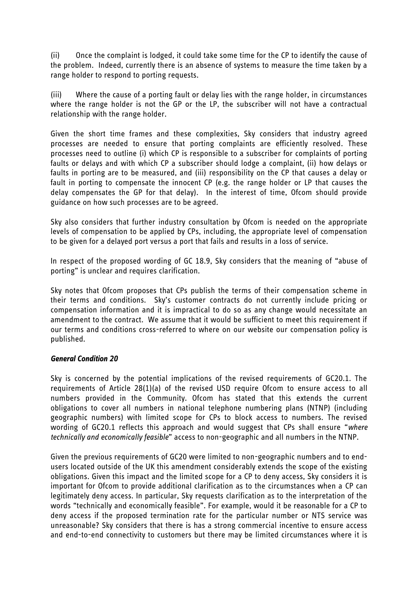(ii) Once the complaint is lodged, it could take some time for the CP to identify the cause of the problem. Indeed, currently there is an absence of systems to measure the time taken by a range holder to respond to porting requests.

(iii) Where the cause of a porting fault or delay lies with the range holder, in circumstances where the range holder is not the GP or the LP, the subscriber will not have a contractual relationship with the range holder.

Given the short time frames and these complexities, Sky considers that industry agreed processes are needed to ensure that porting complaints are efficiently resolved. These processes need to outline (i) which CP is responsible to a subscriber for complaints of porting faults or delays and with which CP a subscriber should lodge a complaint, (ii) how delays or faults in porting are to be measured, and (iii) responsibility on the CP that causes a delay or fault in porting to compensate the innocent CP (e.g. the range holder or LP that causes the delay compensates the GP for that delay). In the interest of time, Ofcom should provide guidance on how such processes are to be agreed.

Sky also considers that further industry consultation by Ofcom is needed on the appropriate levels of compensation to be applied by CPs, including, the appropriate level of compensation to be given for a delayed port versus a port that fails and results in a loss of service.

In respect of the proposed wording of GC 18.9, Sky considers that the meaning of "abuse of porting" is unclear and requires clarification.

Sky notes that Ofcom proposes that CPs publish the terms of their compensation scheme in their terms and conditions. Sky"s customer contracts do not currently include pricing or compensation information and it is impractical to do so as any change would necessitate an amendment to the contract. We assume that it would be sufficient to meet this requirement if our terms and conditions cross-referred to where on our website our compensation policy is published.

### *General Condition 20*

Sky is concerned by the potential implications of the revised requirements of GC20.1. The requirements of Article 28(1)(a) of the revised USD require Ofcom to ensure access to all numbers provided in the Community. Ofcom has stated that this extends the current obligations to cover all numbers in national telephone numbering plans (NTNP) (including geographic numbers) with limited scope for CPs to block access to numbers. The revised wording of GC20.1 reflects this approach and would suggest that CPs shall ensure "*where technically and economically feasible*" access to non-geographic and all numbers in the NTNP.

Given the previous requirements of GC20 were limited to non-geographic numbers and to endusers located outside of the UK this amendment considerably extends the scope of the existing obligations. Given this impact and the limited scope for a CP to deny access, Sky considers it is important for Ofcom to provide additional clarification as to the circumstances when a CP can legitimately deny access. In particular, Sky requests clarification as to the interpretation of the words "technically and economically feasible". For example, would it be reasonable for a CP to deny access if the proposed termination rate for the particular number or NTS service was unreasonable? Sky considers that there is has a strong commercial incentive to ensure access and end-to-end connectivity to customers but there may be limited circumstances where it is